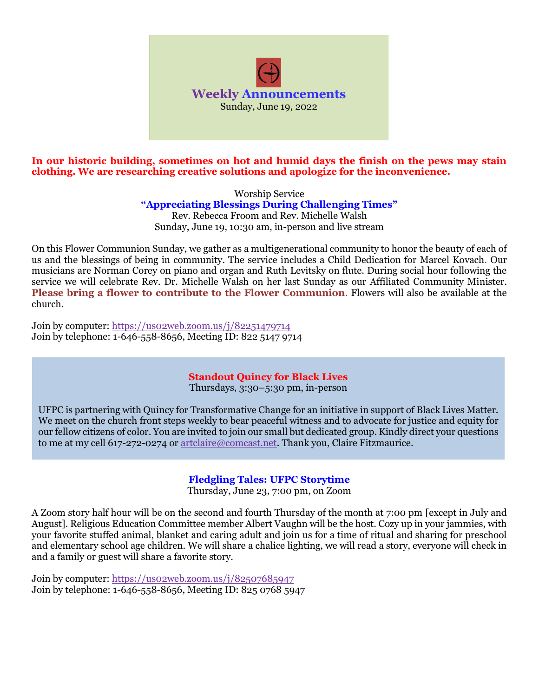

**In our historic building, sometimes on hot and humid days the finish on the pews may stain clothing. We are researching creative solutions and apologize for the inconvenience.** 

> Worship Service **"Appreciating Blessings During Challenging Times"** Rev. Rebecca Froom and Rev. Michelle Walsh Sunday, June 19, 10:30 am, in-person and live stream

On this Flower Communion Sunday, we gather as a multigenerational community to honor the beauty of each of us and the blessings of being in community. The service includes a Child Dedication for Marcel Kovach. Our musicians are Norman Corey on piano and organ and Ruth Levitsky on flute. During social hour following the service we will celebrate Rev. Dr. Michelle Walsh on her last Sunday as our Affiliated Community Minister. **Please bring a flower to contribute to the Flower Communion**. Flowers will also be available at the church.

Join by computer:<https://us02web.zoom.us/j/82251479714> Join by telephone: 1-646-558-8656, Meeting ID: 822 5147 9714

## **Standout Quincy for Black Lives**

Thursdays, 3:30–5:30 pm, in-person

UFPC is partnering with Quincy for Transformative Change for an initiative in support of Black Lives Matter. We meet on the church front steps weekly to bear peaceful witness and to advocate for justice and equity for our fellow citizens of color. You are invited to join our small but dedicated group. Kindly direct your questions to me at my cell 617-272-0274 or [artclaire@comcast.net.](mailto:artclaire@comcast.net) Thank you, Claire Fitzmaurice.

## **Fledgling Tales: UFPC Storytime**

Thursday, June 23, 7:00 pm, on Zoom

A Zoom story half hour will be on the second and fourth Thursday of the month at 7:00 pm [except in July and August]. Religious Education Committee member Albert Vaughn will be the host. Cozy up in your jammies, with your favorite stuffed animal, blanket and caring adult and join us for a time of ritual and sharing for preschool and elementary school age children. We will share a chalice lighting, we will read a story, everyone will check in and a family or guest will share a favorite story.

Join by computer: https://uso2web.zoom.us/j/82507685947 Join by telephone: 1-646-558-8656, Meeting ID: 825 0768 5947